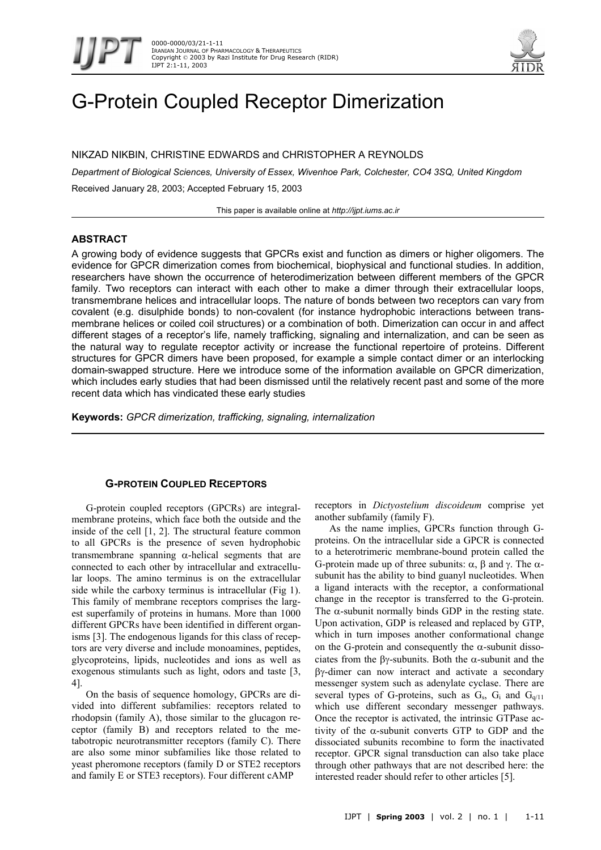



# G-Protein Coupled Receptor Dimerization

NIKZAD NIKBIN, CHRISTINE EDWARDS and CHRISTOPHER A REYNOLDS

*Department of Biological Sciences, University of Essex, Wivenhoe Park, Colchester, CO4 3SQ, United Kingdom*  Received January 28, 2003; Accepted February 15, 2003

This paper is available online at *http://ijpt.iums.ac.ir*

# **ABSTRACT**

A growing body of evidence suggests that GPCRs exist and function as dimers or higher oligomers. The evidence for GPCR dimerization comes from biochemical, biophysical and functional studies. In addition, researchers have shown the occurrence of heterodimerization between different members of the GPCR family. Two receptors can interact with each other to make a dimer through their extracellular loops, transmembrane helices and intracellular loops. The nature of bonds between two receptors can vary from covalent (e.g. disulphide bonds) to non-covalent (for instance hydrophobic interactions between transmembrane helices or coiled coil structures) or a combination of both. Dimerization can occur in and affect different stages of a receptor's life, namely trafficking, signaling and internalization, and can be seen as the natural way to regulate receptor activity or increase the functional repertoire of proteins. Different structures for GPCR dimers have been proposed, for example a simple contact dimer or an interlocking domain-swapped structure. Here we introduce some of the information available on GPCR dimerization, which includes early studies that had been dismissed until the relatively recent past and some of the more recent data which has vindicated these early studies

**Keywords:** *GPCR dimerization, trafficking, signaling, internalization*

# **G-PROTEIN COUPLED RECEPTORS**

G-protein coupled receptors (GPCRs) are integralmembrane proteins, which face both the outside and the inside of the cell [1, 2]. The structural feature common to all GPCRs is the presence of seven hydrophobic transmembrane spanning α-helical segments that are connected to each other by intracellular and extracellular loops. The amino terminus is on the extracellular side while the carboxy terminus is intracellular ([Fig 1\)](#page-1-0). This family of membrane receptors comprises the largest superfamily of proteins in humans. More than 1000 different GPCRs have been identified in different organisms [3]. The endogenous ligands for this class of receptors are very diverse and include monoamines, peptides, glycoproteins, lipids, nucleotides and ions as well as exogenous stimulants such as light, odors and taste [3, 4].

On the basis of sequence homology, GPCRs are divided into different subfamilies: receptors related to rhodopsin (family A), those similar to the glucagon receptor (family B) and receptors related to the metabotropic neurotransmitter receptors (family C). There are also some minor subfamilies like those related to yeast pheromone receptors (family D or STE2 receptors and family E or STE3 receptors). Four different cAMP

receptors in *Dictyostelium discoideum* comprise yet another subfamily (family F).

As the name implies, GPCRs function through Gproteins. On the intracellular side a GPCR is connected to a heterotrimeric membrane-bound protein called the G-protein made up of three subunits: α, β and γ. The αsubunit has the ability to bind guanyl nucleotides. When a ligand interacts with the receptor, a conformational change in the receptor is transferred to the G-protein. The  $\alpha$ -subunit normally binds GDP in the resting state. Upon activation, GDP is released and replaced by GTP, which in turn imposes another conformational change on the G-protein and consequently the  $\alpha$ -subunit dissociates from the βγ-subunits. Both the α-subunit and the βγ-dimer can now interact and activate a secondary messenger system such as adenylate cyclase. There are several types of G-proteins, such as  $G_s$ ,  $G_i$  and  $G_{q/11}$ which use different secondary messenger pathways. Once the receptor is activated, the intrinsic GTPase activity of the α-subunit converts GTP to GDP and the dissociated subunits recombine to form the inactivated receptor. GPCR signal transduction can also take place through other pathways that are not described here: the interested reader should refer to other articles [5].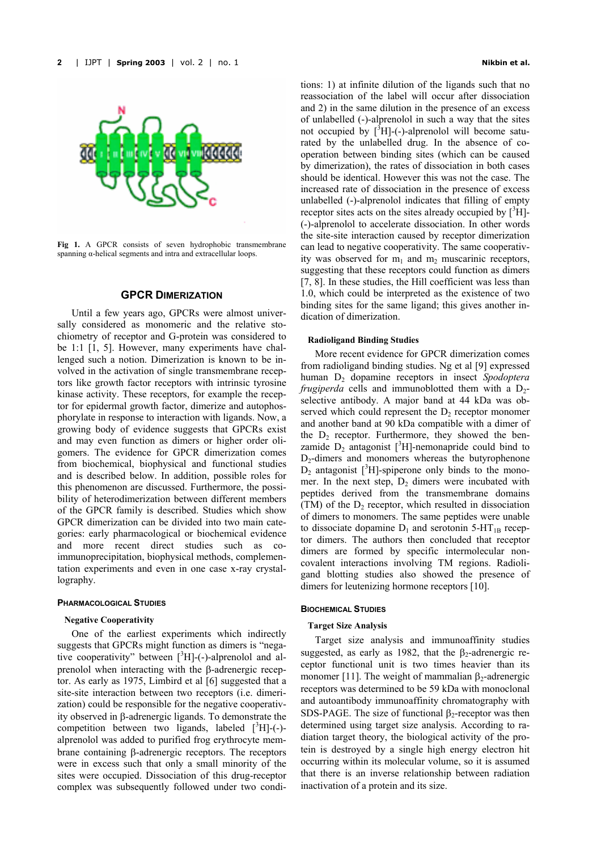

<span id="page-1-0"></span>**Fig 1.** A GPCR consists of seven hydrophobic transmembrane spanning  $\alpha$ -helical segments and intra and extracellular loops.

# **GPCR DIMERIZATION**

Until a few years ago, GPCRs were almost universally considered as monomeric and the relative stochiometry of receptor and G-protein was considered to be 1:1 [1, 5]. However, many experiments have challenged such a notion. Dimerization is known to be involved in the activation of single transmembrane receptors like growth factor receptors with intrinsic tyrosine kinase activity. These receptors, for example the receptor for epidermal growth factor, dimerize and autophosphorylate in response to interaction with ligands. Now, a growing body of evidence suggests that GPCRs exist and may even function as dimers or higher order oligomers. The evidence for GPCR dimerization comes from biochemical, biophysical and functional studies and is described below. In addition, possible roles for this phenomenon are discussed. Furthermore, the possibility of heterodimerization between different members of the GPCR family is described. Studies which show GPCR dimerization can be divided into two main categories: early pharmacological or biochemical evidence and more recent direct studies such as coimmunoprecipitation, biophysical methods, complementation experiments and even in one case x-ray crystallography.

#### **PHARMACOLOGICAL STUDIES**

#### **Negative Cooperativity**

One of the earliest experiments which indirectly suggests that GPCRs might function as dimers is "negative cooperativity" between [3H]-(-)-alprenolol and alprenolol when interacting with the β-adrenergic receptor. As early as 1975, Limbird et al [6] suggested that a site-site interaction between two receptors (i.e. dimerization) could be responsible for the negative cooperativity observed in β-adrenergic ligands. To demonstrate the competition between two ligands, labeled  $[^{3}H]$ -(-)alprenolol was added to purified frog erythrocyte membrane containing β-adrenergic receptors. The receptors were in excess such that only a small minority of the sites were occupied. Dissociation of this drug-receptor complex was subsequently followed under two conditions: 1) at infinite dilution of the ligands such that no reassociation of the label will occur after dissociation and 2) in the same dilution in the presence of an excess of unlabelled (-)-alprenolol in such a way that the sites not occupied by  $\left[\begin{matrix} 3 \\ 1 \end{matrix}\right]$ -(-)-alprenolol will become saturated by the unlabelled drug. In the absence of cooperation between binding sites (which can be caused by dimerization), the rates of dissociation in both cases should be identical. However this was not the case. The increased rate of dissociation in the presence of excess unlabelled (-)-alprenolol indicates that filling of empty receptor sites acts on the sites already occupied by  $\binom{3}{1}$ . (-)-alprenolol to accelerate dissociation. In other words the site-site interaction caused by receptor dimerization can lead to negative cooperativity. The same cooperativity was observed for  $m_1$  and  $m_2$  muscarinic receptors, suggesting that these receptors could function as dimers [7, 8]. In these studies, the Hill coefficient was less than 1.0, which could be interpreted as the existence of two binding sites for the same ligand; this gives another indication of dimerization.

## **Radioligand Binding Studies**

More recent evidence for GPCR dimerization comes from radioligand binding studies. Ng et al [9] expressed human D<sub>2</sub> dopamine receptors in insect *Spodoptera frugiperda* cells and immunoblotted them with a  $D_2$ selective antibody. A major band at 44 kDa was observed which could represent the  $D_2$  receptor monomer and another band at 90 kDa compatible with a dimer of the  $D_2$  receptor. Furthermore, they showed the benzamide  $D_2$  antagonist [ ${}^3H$ ]-nemonapride could bind to  $D<sub>2</sub>$ -dimers and monomers whereas the butyrophenone  $D_2$  antagonist [ ${}^{3}H$ ]-spiperone only binds to the monomer. In the next step,  $D_2$  dimers were incubated with peptides derived from the transmembrane domains (TM) of the  $D_2$  receptor, which resulted in dissociation of dimers to monomers. The same peptides were unable to dissociate dopamine  $D_1$  and serotonin 5-HT<sub>1B</sub> receptor dimers. The authors then concluded that receptor dimers are formed by specific intermolecular noncovalent interactions involving TM regions. Radioligand blotting studies also showed the presence of dimers for leutenizing hormone receptors [10].

#### **BIOCHEMICAL STUDIES**

#### **Target Size Analysis**

Target size analysis and immunoaffinity studies suggested, as early as 1982, that the  $\beta_2$ -adrenergic receptor functional unit is two times heavier than its monomer [11]. The weight of mammalian  $\beta_2$ -adrenergic receptors was determined to be 59 kDa with monoclonal and autoantibody immunoaffinity chromatography with SDS-PAGE. The size of functional  $\beta_2$ -receptor was then determined using target size analysis. According to radiation target theory, the biological activity of the protein is destroyed by a single high energy electron hit occurring within its molecular volume, so it is assumed that there is an inverse relationship between radiation inactivation of a protein and its size.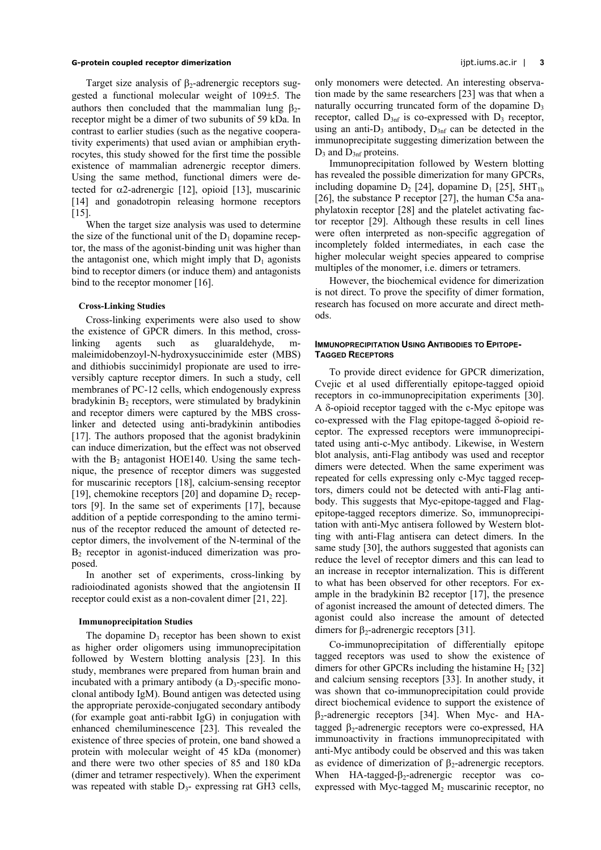Target size analysis of  $\beta_2$ -adrenergic receptors suggested a functional molecular weight of 109±5. The authors then concluded that the mammalian lung  $\beta_2$ receptor might be a dimer of two subunits of 59 kDa. In contrast to earlier studies (such as the negative cooperativity experiments) that used avian or amphibian erythrocytes, this study showed for the first time the possible existence of mammalian adrenergic receptor dimers. Using the same method, functional dimers were detected for  $\alpha$ 2-adrenergic [12], opioid [13], muscarinic [14] and gonadotropin releasing hormone receptors [15].

When the target size analysis was used to determine the size of the functional unit of the  $D_1$  dopamine receptor, the mass of the agonist-binding unit was higher than the antagonist one, which might imply that  $D_1$  agonists bind to receptor dimers (or induce them) and antagonists bind to the receptor monomer [16].

## **Cross-Linking Studies**

Cross-linking experiments were also used to show the existence of GPCR dimers. In this method, crosslinking agents such as gluaraldehyde, mmaleimidobenzoyl-N-hydroxysuccinimide ester (MBS) and dithiobis succinimidyl propionate are used to irreversibly capture receptor dimers. In such a study, cell membranes of PC-12 cells, which endogenously express bradykinin  $B_2$  receptors, were stimulated by bradykinin and receptor dimers were captured by the MBS crosslinker and detected using anti-bradykinin antibodies [17]. The authors proposed that the agonist bradykinin can induce dimerization, but the effect was not observed with the  $B_2$  antagonist HOE140. Using the same technique, the presence of receptor dimers was suggested for muscarinic receptors [18], calcium-sensing receptor [19], chemokine receptors [20] and dopamine  $D_2$  receptors [9]. In the same set of experiments [17], because addition of a peptide corresponding to the amino terminus of the receptor reduced the amount of detected receptor dimers, the involvement of the N-terminal of the  $B<sub>2</sub>$  receptor in agonist-induced dimerization was proposed.

In another set of experiments, cross-linking by radioiodinated agonists showed that the angiotensin II receptor could exist as a non-covalent dimer [21, 22].

#### **Immunoprecipitation Studies**

The dopamine  $D_3$  receptor has been shown to exist as higher order oligomers using immunoprecipitation followed by Western blotting analysis [23]. In this study, membranes were prepared from human brain and incubated with a primary antibody (a  $D_3$ -specific monoclonal antibody IgM). Bound antigen was detected using the appropriate peroxide-conjugated secondary antibody (for example goat anti-rabbit IgG) in conjugation with enhanced chemiluminescence [23]. This revealed the existence of three species of protein, one band showed a protein with molecular weight of 45 kDa (monomer) and there were two other species of 85 and 180 kDa (dimer and tetramer respectively). When the experiment was repeated with stable  $D_3$ - expressing rat GH3 cells,

only monomers were detected. An interesting observation made by the same researchers [23] was that when a naturally occurring truncated form of the dopamine  $D_3$ receptor, called  $D_{3n}$  is co-expressed with  $D_3$  receptor, using an anti- $D_3$  antibody,  $D_{3n}$  can be detected in the immunoprecipitate suggesting dimerization between the  $D_3$  and  $D_{3n}$  proteins.

Immunoprecipitation followed by Western blotting has revealed the possible dimerization for many GPCRs, including dopamine  $D_2$  [24], dopamine  $D_1$  [25], 5HT<sub>1b</sub> [26], the substance P receptor [27], the human C5a anaphylatoxin receptor [28] and the platelet activating factor receptor [29]. Although these results in cell lines were often interpreted as non-specific aggregation of incompletely folded intermediates, in each case the higher molecular weight species appeared to comprise multiples of the monomer, i.e. dimers or tetramers.

However, the biochemical evidence for dimerization is not direct. To prove the specifity of dimer formation, research has focused on more accurate and direct methods.

#### **IMMUNOPRECIPITATION LISING ANTIRODIES TO FPITOPE-TAGGED RECEPTORS**

To provide direct evidence for GPCR dimerization, Cvejic et al used differentially epitope-tagged opioid receptors in co-immunoprecipitation experiments [30]. A δ-opioid receptor tagged with the c-Myc epitope was co-expressed with the Flag epitope-tagged δ-opioid receptor. The expressed receptors were immunoprecipitated using anti-c-Myc antibody. Likewise, in Western blot analysis, anti-Flag antibody was used and receptor dimers were detected. When the same experiment was repeated for cells expressing only c-Myc tagged receptors, dimers could not be detected with anti-Flag antibody. This suggests that Myc-epitope-tagged and Flagepitope-tagged receptors dimerize. So, immunoprecipitation with anti-Myc antisera followed by Western blotting with anti-Flag antisera can detect dimers. In the same study [30], the authors suggested that agonists can reduce the level of receptor dimers and this can lead to an increase in receptor internalization. This is different to what has been observed for other receptors. For example in the bradykinin B2 receptor [17], the presence of agonist increased the amount of detected dimers. The agonist could also increase the amount of detected dimers for  $\beta_2$ -adrenergic receptors [31].

Co-immunoprecipitation of differentially epitope tagged receptors was used to show the existence of dimers for other GPCRs including the histamine  $H_2$  [32] and calcium sensing receptors [33]. In another study, it was shown that co-immunoprecipitation could provide direct biochemical evidence to support the existence of  $\beta_2$ -adrenergic receptors [34]. When Myc- and HAtagged  $β_2$ -adrenergic receptors were co-expressed, HA immunoactivity in fractions immunoprecipitated with anti-Myc antibody could be observed and this was taken as evidence of dimerization of  $β_2$ -adrenergic receptors. When HA-tagged- $\beta_2$ -adrenergic receptor was coexpressed with Myc-tagged  $M_2$  muscarinic receptor, no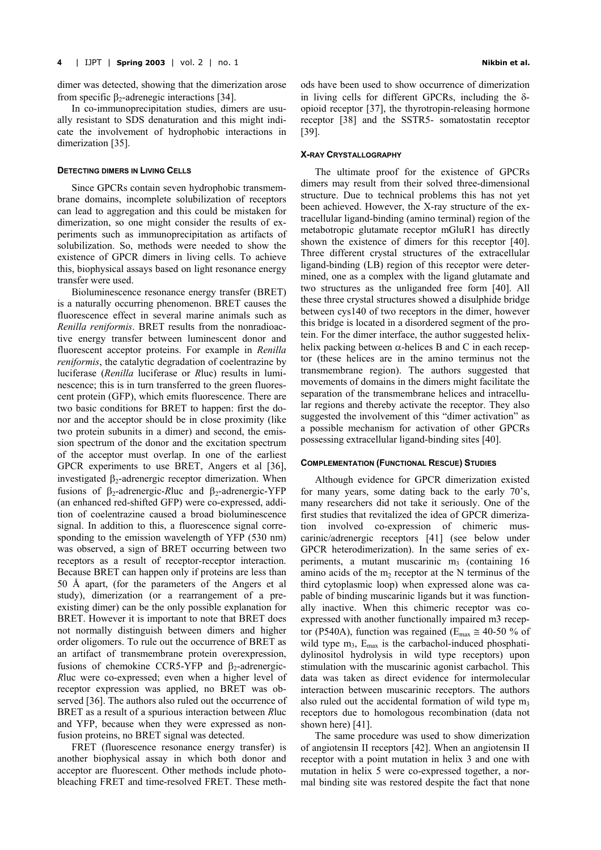dimer was detected, showing that the dimerization arose from specific  $β_2$ -adrenegic interactions [34].

In co-immunoprecipitation studies, dimers are usually resistant to SDS denaturation and this might indicate the involvement of hydrophobic interactions in dimerization [35].

#### **DETECTING DIMERS IN LIVING CELLS**

Since GPCRs contain seven hydrophobic transmembrane domains, incomplete solubilization of receptors can lead to aggregation and this could be mistaken for dimerization, so one might consider the results of experiments such as immunoprecipitation as artifacts of solubilization. So, methods were needed to show the existence of GPCR dimers in living cells. To achieve this, biophysical assays based on light resonance energy transfer were used.

Bioluminescence resonance energy transfer (BRET) is a naturally occurring phenomenon. BRET causes the fluorescence effect in several marine animals such as *Renilla reniformis*. BRET results from the nonradioactive energy transfer between luminescent donor and fluorescent acceptor proteins. For example in *Renilla reniformis*, the catalytic degradation of coelentrazine by luciferase (*Renilla* luciferase or *R*luc) results in luminescence; this is in turn transferred to the green fluorescent protein (GFP), which emits fluorescence. There are two basic conditions for BRET to happen: first the donor and the acceptor should be in close proximity (like two protein subunits in a dimer) and second, the emission spectrum of the donor and the excitation spectrum of the acceptor must overlap. In one of the earliest GPCR experiments to use BRET, Angers et al [36], investigated  $β_2$ -adrenergic receptor dimerization. When fusions of β<sub>2</sub>-adrenergic-*Rluc* and β<sub>2</sub>-adrenergic-YFP (an enhanced red-shifted GFP) were co-expressed, addition of coelentrazine caused a broad bioluminescence signal. In addition to this, a fluorescence signal corresponding to the emission wavelength of YFP (530 nm) was observed, a sign of BRET occurring between two receptors as a result of receptor-receptor interaction. Because BRET can happen only if proteins are less than 50 Å apart, (for the parameters of the Angers et al study), dimerization (or a rearrangement of a preexisting dimer) can be the only possible explanation for BRET. However it is important to note that BRET does not normally distinguish between dimers and higher order oligomers. To rule out the occurrence of BRET as an artifact of transmembrane protein overexpression, fusions of chemokine CCR5-YFP and  $\beta_2$ -adrenergic-*R*luc were co-expressed; even when a higher level of receptor expression was applied, no BRET was observed [36]. The authors also ruled out the occurrence of BRET as a result of a spurious interaction between *R*luc and YFP, because when they were expressed as nonfusion proteins, no BRET signal was detected.

FRET (fluorescence resonance energy transfer) is another biophysical assay in which both donor and acceptor are fluorescent. Other methods include photobleaching FRET and time-resolved FRET. These methods have been used to show occurrence of dimerization in living cells for different GPCRs, including the  $\delta$ opioid receptor [37], the thyrotropin-releasing hormone receptor [38] and the SSTR5- somatostatin receptor [39].

#### **X-RAY CRYSTALLOGRAPHY**

The ultimate proof for the existence of GPCRs dimers may result from their solved three-dimensional structure. Due to technical problems this has not yet been achieved. However, the X-ray structure of the extracellular ligand-binding (amino terminal) region of the metabotropic glutamate receptor mGluR1 has directly shown the existence of dimers for this receptor [40]. Three different crystal structures of the extracellular ligand-binding (LB) region of this receptor were determined, one as a complex with the ligand glutamate and two structures as the unliganded free form [40]. All these three crystal structures showed a disulphide bridge between cys140 of two receptors in the dimer, however this bridge is located in a disordered segment of the protein. For the dimer interface, the author suggested helixhelix packing between  $\alpha$ -helices B and C in each receptor (these helices are in the amino terminus not the transmembrane region). The authors suggested that movements of domains in the dimers might facilitate the separation of the transmembrane helices and intracellular regions and thereby activate the receptor. They also suggested the involvement of this "dimer activation" as a possible mechanism for activation of other GPCRs possessing extracellular ligand-binding sites [40].

## **COMPLEMENTATION (FUNCTIONAL RESCUE) STUDIES**

Although evidence for GPCR dimerization existed for many years, some dating back to the early 70's, many researchers did not take it seriously. One of the first studies that revitalized the idea of GPCR dimerization involved co-expression of chimeric muscarinic/adrenergic receptors [41] (see below under GPCR heterodimerization). In the same series of experiments, a mutant muscarinic  $m<sub>3</sub>$  (containing 16) amino acids of the  $m_2$  receptor at the N terminus of the third cytoplasmic loop) when expressed alone was capable of binding muscarinic ligands but it was functionally inactive. When this chimeric receptor was coexpressed with another functionally impaired m3 receptor (P540A), function was regained ( $E_{\text{max}} \approx 40$ -50 % of wild type  $m_3$ ,  $E_{\text{max}}$  is the carbachol-induced phosphatidylinositol hydrolysis in wild type receptors) upon stimulation with the muscarinic agonist carbachol. This data was taken as direct evidence for intermolecular interaction between muscarinic receptors. The authors also ruled out the accidental formation of wild type  $m_3$ receptors due to homologous recombination (data not shown here) [41].

The same procedure was used to show dimerization of angiotensin II receptors [42]. When an angiotensin II receptor with a point mutation in helix 3 and one with mutation in helix 5 were co-expressed together, a normal binding site was restored despite the fact that none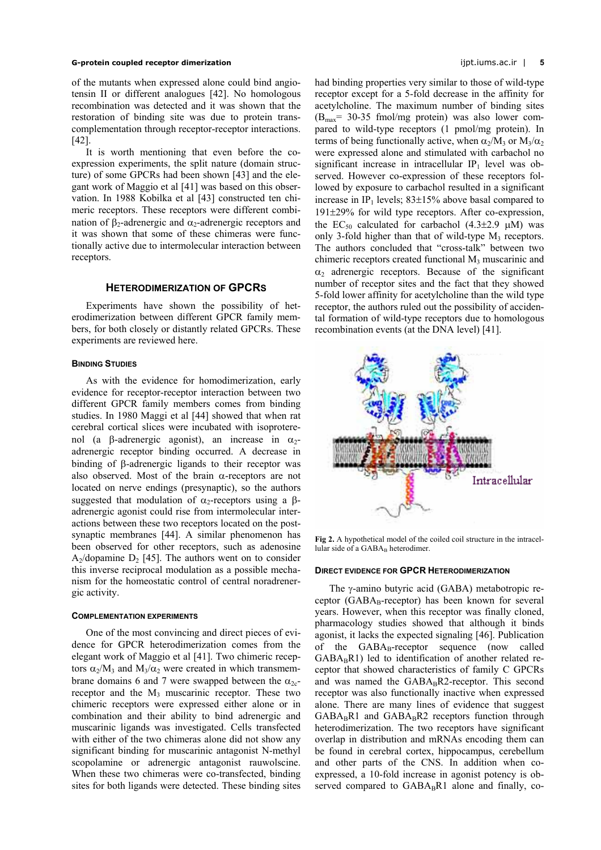of the mutants when expressed alone could bind angiotensin II or different analogues [42]. No homologous recombination was detected and it was shown that the restoration of binding site was due to protein transcomplementation through receptor-receptor interactions. [42].

It is worth mentioning that even before the coexpression experiments, the split nature (domain structure) of some GPCRs had been shown [43] and the elegant work of Maggio et al [41] was based on this observation. In 1988 Kobilka et al [43] constructed ten chimeric receptors. These receptors were different combination of β<sub>2</sub>-adrenergic and  $α_2$ -adrenergic receptors and it was shown that some of these chimeras were functionally active due to intermolecular interaction between receptors.

#### **HETERODIMERIZATION OF GPCRS**

Experiments have shown the possibility of heterodimerization between different GPCR family members, for both closely or distantly related GPCRs. These experiments are reviewed here.

## **BINDING STUDIES**

As with the evidence for homodimerization, early evidence for receptor-receptor interaction between two different GPCR family members comes from binding studies. In 1980 Maggi et al [44] showed that when rat cerebral cortical slices were incubated with isoproterenol (a β-adrenergic agonist), an increase in  $α_2$ adrenergic receptor binding occurred. A decrease in binding of β-adrenergic ligands to their receptor was also observed. Most of the brain  $\alpha$ -receptors are not located on nerve endings (presynaptic), so the authors suggested that modulation of  $\alpha_2$ -receptors using a βadrenergic agonist could rise from intermolecular interactions between these two receptors located on the postsynaptic membranes [44]. A similar phenomenon has been observed for other receptors, such as adenosine A<sub>2</sub>/dopamine D<sub>2</sub> [45]. The authors went on to consider this inverse reciprocal modulation as a possible mechanism for the homeostatic control of central noradrenergic activity.

#### **COMPLEMENTATION EXPERIMENTS**

One of the most convincing and direct pieces of evidence for GPCR heterodimerization comes from the elegant work of Maggio et al [41]. Two chimeric receptors  $\alpha_2/M_3$  and  $M_3/\alpha_2$  were created in which transmembrane domains 6 and 7 were swapped between the  $\alpha_{2c}$ receptor and the  $M_3$  muscarinic receptor. These two chimeric receptors were expressed either alone or in combination and their ability to bind adrenergic and muscarinic ligands was investigated. Cells transfected with either of the two chimeras alone did not show any significant binding for muscarinic antagonist N-methyl scopolamine or adrenergic antagonist rauwolscine. When these two chimeras were co-transfected, binding sites for both ligands were detected. These binding sites had binding properties very similar to those of wild-type receptor except for a 5-fold decrease in the affinity for acetylcholine. The maximum number of binding sites  $(B<sub>max</sub>= 30-35$  fmol/mg protein) was also lower compared to wild-type receptors (1 pmol/mg protein). In terms of being functionally active, when  $\alpha_2/M_3$  or  $M_3/\alpha_2$ were expressed alone and stimulated with carbachol no significant increase in intracellular  $IP_1$  level was observed. However co-expression of these receptors followed by exposure to carbachol resulted in a significant increase in IP<sub>1</sub> levels;  $83\pm15\%$  above basal compared to 191±29% for wild type receptors. After co-expression, the EC<sub>50</sub> calculated for carbachol  $(4.3\pm2.9 \mu M)$  was only 3-fold higher than that of wild-type  $M_3$  receptors. The authors concluded that "cross-talk" between two chimeric receptors created functional  $M_3$  muscarinic and  $\alpha_2$  adrenergic receptors. Because of the significant number of receptor sites and the fact that they showed 5-fold lower affinity for acetylcholine than the wild type receptor, the authors ruled out the possibility of accidental formation of wild-type receptors due to homologous recombination events (at the DNA level) [41].

<span id="page-4-0"></span>

**Fig 2.** A hypothetical model of the coiled coil structure in the intracellular side of a GABAB heterodimer.

#### **DIRECT EVIDENCE FOR GPCR HETERODIMERIZATION**

The γ-amino butyric acid (GABA) metabotropic receptor ( $GABA_B$ -receptor) has been known for several years. However, when this receptor was finally cloned, pharmacology studies showed that although it binds agonist, it lacks the expected signaling [46]. Publication of the  $GABA_B$ -receptor sequence (now called  $GABA_BR1$ ) led to identification of another related receptor that showed characteristics of family C GPCRs and was named the  $GABA_BR2$ -receptor. This second receptor was also functionally inactive when expressed alone. There are many lines of evidence that suggest  $GABA_BR1$  and  $GABA_BR2$  receptors function through heterodimerization. The two receptors have significant overlap in distribution and mRNAs encoding them can be found in cerebral cortex, hippocampus, cerebellum and other parts of the CNS. In addition when coexpressed, a 10-fold increase in agonist potency is observed compared to  $GABA_BR1$  alone and finally, co-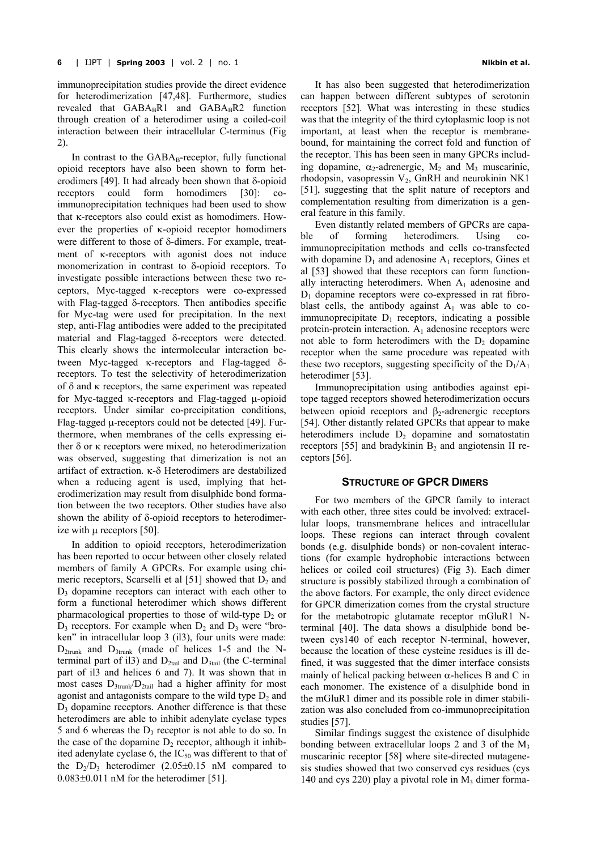immunoprecipitation studies provide the direct evidence for heterodimerization [47,48]. Furthermore, studies revealed that  $GABA_RR1$  and  $GABA_RR2$  function through creation of a heterodimer using a coiled-coil interaction between their intracellular C-terminus ([Fig](#page-4-0)  [2\)](#page-4-0).

In contrast to the  $GABA_B$ -receptor, fully functional opioid receptors have also been shown to form heterodimers [49]. It had already been shown that δ-opioid receptors could form homodimers [30]: coimmunoprecipitation techniques had been used to show that κ-receptors also could exist as homodimers. However the properties of κ-opioid receptor homodimers were different to those of δ-dimers. For example, treatment of κ-receptors with agonist does not induce monomerization in contrast to δ-opioid receptors. To investigate possible interactions between these two receptors, Myc-tagged κ-receptors were co-expressed with Flag-tagged δ-receptors. Then antibodies specific for Myc-tag were used for precipitation. In the next step, anti-Flag antibodies were added to the precipitated material and Flag-tagged δ-receptors were detected. This clearly shows the intermolecular interaction between Myc-tagged κ-receptors and Flag-tagged δreceptors. To test the selectivity of heterodimerization of δ and κ receptors, the same experiment was repeated for Myc-tagged κ-receptors and Flag-tagged µ-opioid receptors. Under similar co-precipitation conditions, Flag-tagged µ-receptors could not be detected [49]. Furthermore, when membranes of the cells expressing either δ or κ receptors were mixed, no heterodimerization was observed, suggesting that dimerization is not an artifact of extraction. κ-δ Heterodimers are destabilized when a reducing agent is used, implying that heterodimerization may result from disulphide bond formation between the two receptors. Other studies have also shown the ability of δ-opioid receptors to heterodimerize with  $\mu$  receptors [50].

In addition to opioid receptors, heterodimerization has been reported to occur between other closely related members of family A GPCRs. For example using chimeric receptors, Scarselli et al  $[51]$  showed that  $D_2$  and  $D_3$  dopamine receptors can interact with each other to form a functional heterodimer which shows different pharmacological properties to those of wild-type  $D<sub>2</sub>$  or  $D_3$  receptors. For example when  $D_2$  and  $D_3$  were "broken" in intracellular loop 3 (il3), four units were made:  $D_{2trunk}$  and  $D_{3trunk}$  (made of helices 1-5 and the Nterminal part of il3) and  $D_{2\text{tail}}$  and  $D_{3\text{tail}}$  (the C-terminal part of il3 and helices 6 and 7). It was shown that in most cases  $D_{3\text{trunk}}/D_{2\text{tail}}$  had a higher affinity for most agonist and antagonists compare to the wild type  $D_2$  and  $D<sub>3</sub>$  dopamine receptors. Another difference is that these heterodimers are able to inhibit adenylate cyclase types 5 and 6 whereas the  $D_3$  receptor is not able to do so. In the case of the dopamine  $D_2$  receptor, although it inhibited adenylate cyclase 6, the  $IC_{50}$  was different to that of the  $D_2/D_3$  heterodimer (2.05 $\pm$ 0.15 nM compared to  $0.083\pm0.011$  nM for the heterodimer [51].

It has also been suggested that heterodimerization can happen between different subtypes of serotonin receptors [52]. What was interesting in these studies was that the integrity of the third cytoplasmic loop is not important, at least when the receptor is membranebound, for maintaining the correct fold and function of the receptor. This has been seen in many GPCRs including dopamine,  $\alpha_2$ -adrenergic,  $M_2$  and  $M_3$  muscarinic, rhodopsin, vasopressin  $V_2$ , GnRH and neurokinin NK1 [51], suggesting that the split nature of receptors and complementation resulting from dimerization is a general feature in this family.

Even distantly related members of GPCRs are capable of forming heterodimers. Using coimmunoprecipitation methods and cells co-transfected with dopamine  $D_1$  and adenosine  $A_1$  receptors, Gines et al [53] showed that these receptors can form functionally interacting heterodimers. When  $A_1$  adenosine and  $D_1$  dopamine receptors were co-expressed in rat fibroblast cells, the antibody against  $A_1$  was able to coimmunoprecipitate  $D_1$  receptors, indicating a possible protein-protein interaction.  $A_1$  adenosine receptors were not able to form heterodimers with the  $D_2$  dopamine receptor when the same procedure was repeated with these two receptors, suggesting specificity of the  $D_1/A_1$ heterodimer [53].

Immunoprecipitation using antibodies against epitope tagged receptors showed heterodimerization occurs between opioid receptors and  $\beta_2$ -adrenergic receptors [54]. Other distantly related GPCRs that appear to make heterodimers include  $D_2$  dopamine and somatostatin receptors [55] and bradykinin  $B_2$  and angiotensin II receptors [56].

## **STRUCTURE OF GPCR DIMERS**

For two members of the GPCR family to interact with each other, three sites could be involved: extracellular loops, transmembrane helices and intracellular loops. These regions can interact through covalent bonds (e.g. disulphide bonds) or non-covalent interactions (for example hydrophobic interactions between helices or coiled coil structures) ([Fig 3\)](#page-6-0). Each dimer structure is possibly stabilized through a combination of the above factors. For example, the only direct evidence for GPCR dimerization comes from the crystal structure for the metabotropic glutamate receptor mGluR1 Nterminal [40]. The data shows a disulphide bond between cys140 of each receptor N-terminal, however, because the location of these cysteine residues is ill defined, it was suggested that the dimer interface consists mainly of helical packing between  $\alpha$ -helices B and C in each monomer. The existence of a disulphide bond in the mGluR1 dimer and its possible role in dimer stabilization was also concluded from co-immunoprecipitation studies [57].

Similar findings suggest the existence of disulphide bonding between extracellular loops 2 and 3 of the  $M_3$ muscarinic receptor [58] where site-directed mutagenesis studies showed that two conserved cys residues (cys 140 and cys 220) play a pivotal role in  $M<sub>3</sub>$  dimer forma-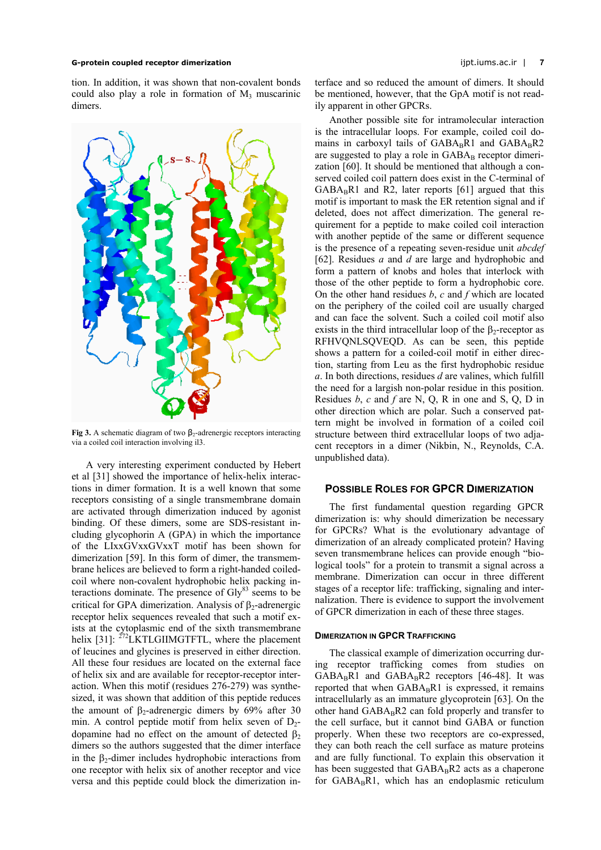tion. In addition, it was shown that non-covalent bonds could also play a role in formation of  $M_3$  muscarinic dimers.

<span id="page-6-0"></span>

**Fig 3.** A schematic diagram of two  $β_2$ -adrenergic receptors interacting via a coiled coil interaction involving il3.

A very interesting experiment conducted by Hebert et al [31] showed the importance of helix-helix interactions in dimer formation. It is a well known that some receptors consisting of a single transmembrane domain are activated through dimerization induced by agonist binding. Of these dimers, some are SDS-resistant including glycophorin A (GPA) in which the importance of the LIxxGVxxGVxxT motif has been shown for dimerization [59]. In this form of dimer, the transmembrane helices are believed to form a right-handed coiledcoil where non-covalent hydrophobic helix packing interactions dominate. The presence of  $\text{Gly}^{83}$  seems to be critical for GPA dimerization. Analysis of  $\beta_2$ -adrenergic receptor helix sequences revealed that such a motif exists at the cytoplasmic end of the sixth transmembrane helix [31]:  $^{272}$ LKTLGIIMGTFTL, where the placement of leucines and glycines is preserved in either direction. All these four residues are located on the external face of helix six and are available for receptor-receptor interaction. When this motif (residues 276-279) was synthesized, it was shown that addition of this peptide reduces the amount of β<sub>2</sub>-adrenergic dimers by 69% after 30 min. A control peptide motif from helix seven of  $D_2$ dopamine had no effect on the amount of detected  $β_2$ dimers so the authors suggested that the dimer interface in the  $\beta_2$ -dimer includes hydrophobic interactions from one receptor with helix six of another receptor and vice versa and this peptide could block the dimerization interface and so reduced the amount of dimers. It should be mentioned, however, that the GpA motif is not readily apparent in other GPCRs.

Another possible site for intramolecular interaction is the intracellular loops. For example, coiled coil domains in carboxyl tails of  $GABA_BR1$  and  $GABA_BR2$ are suggested to play a role in  $GABA_B$  receptor dimerization [60]. It should be mentioned that although a conserved coiled coil pattern does exist in the C-terminal of  $GABA_BRI$  and R2, later reports [61] argued that this motif is important to mask the ER retention signal and if deleted, does not affect dimerization. The general requirement for a peptide to make coiled coil interaction with another peptide of the same or different sequence is the presence of a repeating seven-residue unit *abcdef* [62]. Residues *a* and *d* are large and hydrophobic and form a pattern of knobs and holes that interlock with those of the other peptide to form a hydrophobic core. On the other hand residues *b*, *c* and *f* which are located on the periphery of the coiled coil are usually charged and can face the solvent. Such a coiled coil motif also exists in the third intracellular loop of the  $\beta_2$ -receptor as RFHVQNLSQVEQD. As can be seen, this peptide shows a pattern for a coiled-coil motif in either direction, starting from Leu as the first hydrophobic residue *a*. In both directions, residues *d* are valines, which fulfill the need for a largish non-polar residue in this position. Residues *b*, *c* and *f* are N, Q, R in one and S, Q, D in other direction which are polar. Such a conserved pattern might be involved in formation of a coiled coil structure between third extracellular loops of two adjacent receptors in a dimer (Nikbin, N., Reynolds, C.A. unpublished data).

## **POSSIBLE ROLES FOR GPCR DIMERIZATION**

The first fundamental question regarding GPCR dimerization is: why should dimerization be necessary for GPCRs? What is the evolutionary advantage of dimerization of an already complicated protein? Having seven transmembrane helices can provide enough "biological tools" for a protein to transmit a signal across a membrane. Dimerization can occur in three different stages of a receptor life: trafficking, signaling and internalization. There is evidence to support the involvement of GPCR dimerization in each of these three stages.

## **DIMERIZATION IN GPCR TRAFFICKING**

The classical example of dimerization occurring during receptor trafficking comes from studies on  $GABA_BR1$  and  $GABA_BR2$  receptors [46-48]. It was reported that when  $GABA_BR1$  is expressed, it remains intracellularly as an immature glycoprotein [63]. On the other hand GABABR2 can fold properly and transfer to the cell surface, but it cannot bind GABA or function properly. When these two receptors are co-expressed, they can both reach the cell surface as mature proteins and are fully functional. To explain this observation it has been suggested that  $GABA_BR2$  acts as a chaperone for  $GABA_BRI$ , which has an endoplasmic reticulum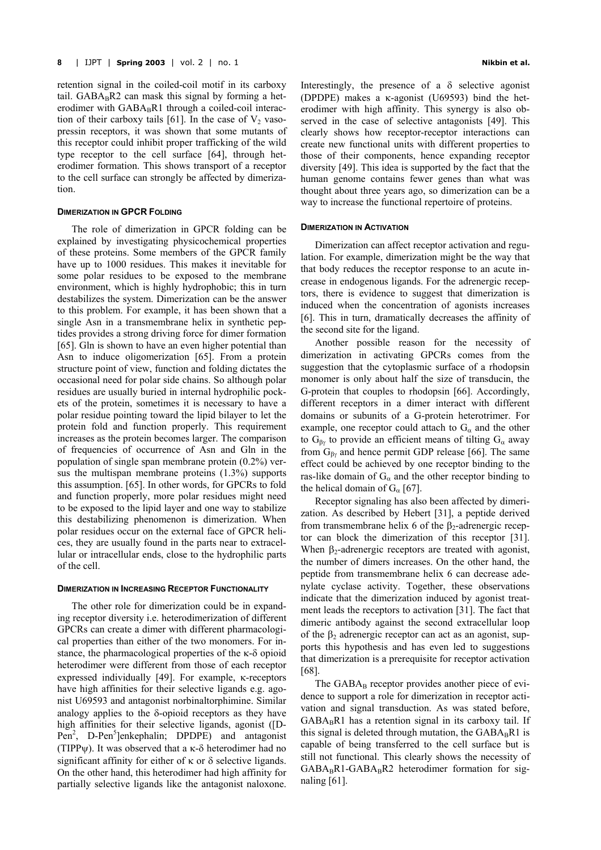retention signal in the coiled-coil motif in its carboxy tail.  $GABA_BR2$  can mask this signal by forming a heterodimer with  $GABA_BRI$  through a coiled-coil interaction of their carboxy tails [61]. In the case of  $V_2$  vasopressin receptors, it was shown that some mutants of this receptor could inhibit proper trafficking of the wild type receptor to the cell surface [64], through heterodimer formation. This shows transport of a receptor to the cell surface can strongly be affected by dimerization.

#### **DIMERIZATION IN GPCR FOLDING**

The role of dimerization in GPCR folding can be explained by investigating physicochemical properties of these proteins. Some members of the GPCR family have up to 1000 residues. This makes it inevitable for some polar residues to be exposed to the membrane environment, which is highly hydrophobic; this in turn destabilizes the system. Dimerization can be the answer to this problem. For example, it has been shown that a single Asn in a transmembrane helix in synthetic peptides provides a strong driving force for dimer formation [65]. Gln is shown to have an even higher potential than Asn to induce oligomerization [65]. From a protein structure point of view, function and folding dictates the occasional need for polar side chains. So although polar residues are usually buried in internal hydrophilic pockets of the protein, sometimes it is necessary to have a polar residue pointing toward the lipid bilayer to let the protein fold and function properly. This requirement increases as the protein becomes larger. The comparison of frequencies of occurrence of Asn and Gln in the population of single span membrane protein (0.2%) versus the multispan membrane proteins (1.3%) supports this assumption. [65]. In other words, for GPCRs to fold and function properly, more polar residues might need to be exposed to the lipid layer and one way to stabilize this destabilizing phenomenon is dimerization. When polar residues occur on the external face of GPCR helices, they are usually found in the parts near to extracellular or intracellular ends, close to the hydrophilic parts of the cell.

#### **DIMERIZATION IN INCREASING RECEPTOR FUNCTIONALITY**

The other role for dimerization could be in expanding receptor diversity i.e. heterodimerization of different GPCRs can create a dimer with different pharmacological properties than either of the two monomers. For instance, the pharmacological properties of the κ-δ opioid heterodimer were different from those of each receptor expressed individually [49]. For example, κ-receptors have high affinities for their selective ligands e.g. agonist U69593 and antagonist norbinaltorphimine. Similar analogy applies to the  $\delta$ -opioid receptors as they have high affinities for their selective ligands, agonist ([D-Pen<sup>2</sup>, D-Pen<sup>5</sup>]enkephalin; DPDPE) and antagonist (TIPP $\psi$ ). It was observed that a  $\kappa$ -δ heterodimer had no significant affinity for either of  $\kappa$  or  $\delta$  selective ligands. On the other hand, this heterodimer had high affinity for partially selective ligands like the antagonist naloxone.

Interestingly, the presence of a  $\delta$  selective agonist (DPDPE) makes a κ-agonist (U69593) bind the heterodimer with high affinity. This synergy is also observed in the case of selective antagonists [49]. This clearly shows how receptor-receptor interactions can create new functional units with different properties to those of their components, hence expanding receptor diversity [49]. This idea is supported by the fact that the human genome contains fewer genes than what was thought about three years ago, so dimerization can be a way to increase the functional repertoire of proteins.

#### **DIMERIZATION IN ACTIVATION**

Dimerization can affect receptor activation and regulation. For example, dimerization might be the way that that body reduces the receptor response to an acute increase in endogenous ligands. For the adrenergic receptors, there is evidence to suggest that dimerization is induced when the concentration of agonists increases [6]. This in turn, dramatically decreases the affinity of the second site for the ligand.

the helical domain of  $G_{\alpha}$  [67]. Another possible reason for the necessity of dimerization in activating GPCRs comes from the suggestion that the cytoplasmic surface of a rhodopsin monomer is only about half the size of transducin, the G-protein that couples to rhodopsin [66]. Accordingly, different receptors in a dimer interact with different domains or subunits of a G-protein heterotrimer. For example, one receptor could attach to  $G_{\alpha}$  and the other to  $G_{\beta\gamma}$  to provide an efficient means of tilting  $G_{\alpha}$  away from  $G_{\beta\gamma}$  and hence permit GDP release [66]. The same effect could be achieved by one receptor binding to the ras-like domain of  $G_{\alpha}$  and the other receptor binding to

Receptor signaling has also been affected by dimerization. As described by Hebert [31], a peptide derived from transmembrane helix 6 of the  $\beta_2$ -adrenergic receptor can block the dimerization of this receptor [31]. When  $\beta_2$ -adrenergic receptors are treated with agonist, the number of dimers increases. On the other hand, the peptide from transmembrane helix 6 can decrease adenylate cyclase activity. Together, these observations indicate that the dimerization induced by agonist treatment leads the receptors to activation [31]. The fact that dimeric antibody against the second extracellular loop of the  $\beta_2$  adrenergic receptor can act as an agonist, supports this hypothesis and has even led to suggestions that dimerization is a prerequisite for receptor activation [68].

The  $GABA_B$  receptor provides another piece of evidence to support a role for dimerization in receptor activation and signal transduction. As was stated before,  $GABA_BR1$  has a retention signal in its carboxy tail. If this signal is deleted through mutation, the  $GABA_BRI$  is capable of being transferred to the cell surface but is still not functional. This clearly shows the necessity of  $GABA_BR1-GABA_BR2$  heterodimer formation for signaling [61].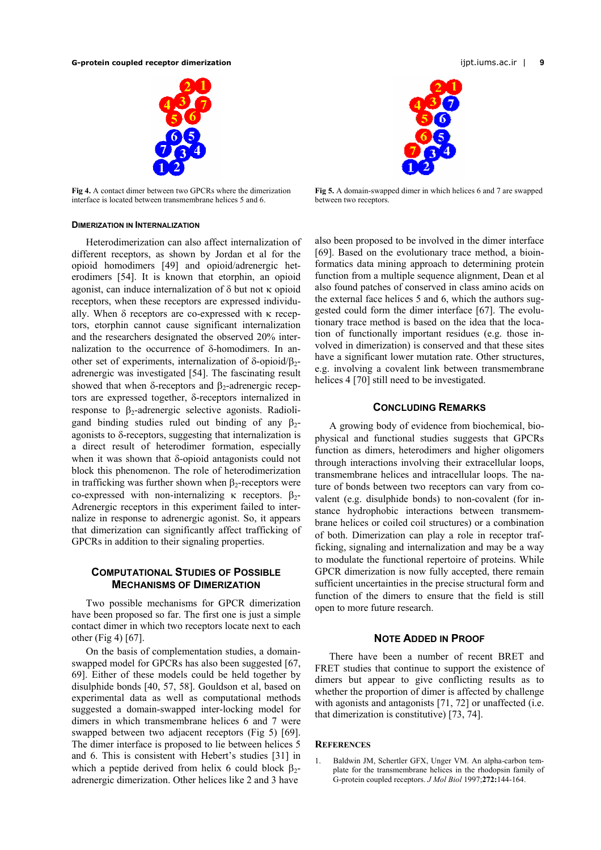<span id="page-8-0"></span>

**Fig 4.** A contact dimer between two GPCRs where the dimerization interface is located between transmembrane helices 5 and 6.

# **DIMERIZATION IN INTERNALIZATION**

Heterodimerization can also affect internalization of different receptors, as shown by Jordan et al for the opioid homodimers [49] and opioid/adrenergic heterodimers [54]. It is known that etorphin, an opioid agonist, can induce internalization of  $\delta$  but not  $\kappa$  opioid receptors, when these receptors are expressed individually. When δ receptors are co-expressed with κ receptors, etorphin cannot cause significant internalization and the researchers designated the observed 20% internalization to the occurrence of δ-homodimers. In another set of experiments, internalization of δ-opioid/β<sub>2</sub>adrenergic was investigated [54]. The fascinating result showed that when  $\delta$ -receptors and  $\beta_2$ -adrenergic receptors are expressed together, δ-receptors internalized in response to β<sub>2</sub>-adrenergic selective agonists. Radioligand binding studies ruled out binding of any  $\beta_2$ agonists to  $\delta$ -receptors, suggesting that internalization is a direct result of heterodimer formation, especially when it was shown that δ-opioid antagonists could not block this phenomenon. The role of heterodimerization in trafficking was further shown when  $\beta_2$ -receptors were co-expressed with non-internalizing κ receptors. β<sub>2</sub>-Adrenergic receptors in this experiment failed to internalize in response to adrenergic agonist. So, it appears that dimerization can significantly affect trafficking of GPCRs in addition to their signaling properties.

# **COMPUTATIONAL STUDIES OF POSSIBLE MECHANISMS OF DIMERIZATION**

Two possible mechanisms for GPCR dimerization have been proposed so far. The first one is just a simple contact dimer in which two receptors locate next to each other [\(Fig](#page-8-0) 4) [67].

On the basis of complementation studies, a domainswapped model for GPCRs has also been suggested [67, 69]. Either of these models could be held together by disulphide bonds [40, 57, 58]. Gouldson et al, based on experimental data as well as computational methods suggested a domain-swapped inter-locking model for dimers in which transmembrane helices 6 and 7 were swapped between two adjacent receptors ([Fig 5\)](#page-8-1) [69]. The dimer interface is proposed to lie between helices 5 and 6. This is consistent with Hebert's studies [31] in which a peptide derived from helix 6 could block  $\beta_2$ adrenergic dimerization. Other helices like 2 and 3 have

<span id="page-8-1"></span>

**Fig 5.** A domain-swapped dimer in which helices 6 and 7 are swapped between two receptors.

also been proposed to be involved in the dimer interface [69]. Based on the evolutionary trace method, a bioinformatics data mining approach to determining protein function from a multiple sequence alignment, Dean et al also found patches of conserved in class amino acids on the external face helices 5 and 6, which the authors suggested could form the dimer interface [67]. The evolutionary trace method is based on the idea that the location of functionally important residues (e.g. those involved in dimerization) is conserved and that these sites have a significant lower mutation rate. Other structures, e.g. involving a covalent link between transmembrane helices 4 [70] still need to be investigated.

# **CONCLUDING REMARKS**

A growing body of evidence from biochemical, biophysical and functional studies suggests that GPCRs function as dimers, heterodimers and higher oligomers through interactions involving their extracellular loops, transmembrane helices and intracellular loops. The nature of bonds between two receptors can vary from covalent (e.g. disulphide bonds) to non-covalent (for instance hydrophobic interactions between transmembrane helices or coiled coil structures) or a combination of both. Dimerization can play a role in receptor trafficking, signaling and internalization and may be a way to modulate the functional repertoire of proteins. While GPCR dimerization is now fully accepted, there remain sufficient uncertainties in the precise structural form and function of the dimers to ensure that the field is still open to more future research.

#### **NOTE ADDED IN PROOF**

There have been a number of recent BRET and FRET studies that continue to support the existence of dimers but appear to give conflicting results as to whether the proportion of dimer is affected by challenge with agonists and antagonists [71, 72] or unaffected (i.e. that dimerization is constitutive) [73, 74].

#### **REFERENCES**

1. Baldwin JM, Schertler GFX, Unger VM. An alpha-carbon template for the transmembrane helices in the rhodopsin family of G-protein coupled receptors. *J Mol Biol* 1997;**272:**144-164.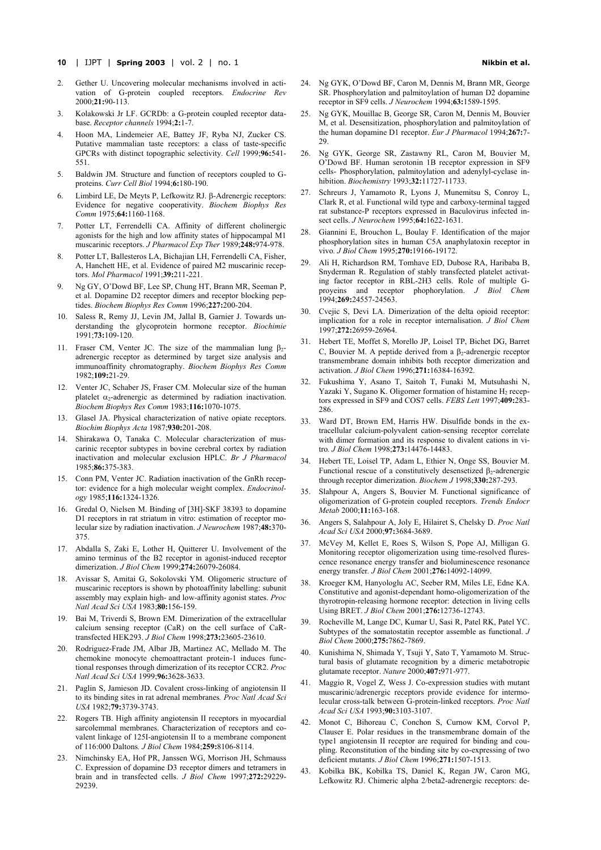- **10** | IJPT | **Spring 2003** | vol. 2 | no. 1**Nikbin et al.**
- 2. Gether U. Uncovering molecular mechanisms involved in activation of G-protein coupled receptors. *Endocrine Rev* 2000;**21:**90-113.
- 3. Kolakowski Jr LF. GCRDb: a G-protein coupled receptor database. *Receptor channels* 1994;**2:**1-7.
- 4. Hoon MA, Lindemeier AE, Battey JF, Ryba NJ, Zucker CS. Putative mammalian taste receptors: a class of taste-specific GPCRs with distinct topographic selectivity. *Cell* 1999;**96:**541- 551.
- 5. Baldwin JM. Structure and function of receptors coupled to Gproteins. *Curr Cell Biol* 1994;**6:**180-190.
- 6. Limbird LE, De Meyts P, Lefkowitz RJ. β-Adrenergic receptors: Evidence for negative cooperativity. *Biochem Biophys Res Comm* 1975;**64:**1160-1168.
- 7. Potter LT, Ferrendelli CA. Affinity of different cholinergic agonists for the high and low affinity states of hippocampal M1 muscarinic receptors. *J Pharmacol Exp Ther* 1989;**248:**974-978.
- 8. Potter LT, Ballesteros LA, Bichajian LH, Ferrendelli CA, Fisher, A, Hanchett HE, et al. Evidence of paired M2 muscarinic receptors. *Mol Pharmacol* 1991;**39:**211-221.
- 9. Ng GY, O'Dowd BF, Lee SP, Chung HT, Brann MR, Seeman P, et al. Dopamine D2 receptor dimers and receptor blocking peptides. *Biochem Biophys Res Comm* 1996;**227:**200-204.
- 10. Saless R, Remy JJ, Levin JM, Jallal B, Garnier J. Towards understanding the glycoprotein hormone receptor. *Biochimie* 1991;**73:**109-120.
- 11. Fraser CM, Venter JC. The size of the mammalian lung  $β<sub>2</sub>$ adrenergic receptor as determined by target size analysis and immunoaffinity chromatography. *Biochem Biophys Res Comm* 1982;**109:**21-29.
- 12. Venter JC, Schaber JS, Fraser CM. Molecular size of the human platelet  $\alpha_2$ -adrenergic as determined by radiation inactivation. *Biochem Biophys Res Comm* 1983;**116:**1070-1075.
- 13. Glasel JA. Physical characterization of native opiate receptors. *Biochim Biophys Acta* 1987;**930:**201-208.
- 14. Shirakawa O, Tanaka C. Molecular characterization of muscarinic receptor subtypes in bovine cerebral cortex by radiation inactivation and molecular exclusion HPLC. *Br J Pharmacol* 1985;**86:**375-383.
- 15. Conn PM, Venter JC. Radiation inactivation of the GnRh receptor: evidence for a high molecular weight complex. *Endocrinology* 1985;**116:**1324-1326.
- 16. Gredal O, Nielsen M. Binding of [3H]-SKF 38393 to dopamine D1 receptors in rat striatum in vitro: estimation of receptor molecular size by radiation inactivation. *J Neurochem* 1987;**48:**370- 375.
- 17. Abdalla S, Zaki E, Lother H, Quitterer U. Involvement of the amino terminus of the B2 receptor in agonist-induced receptor dimerization. *J Biol Chem* 1999;**274:**26079-26084.
- 18. Avissar S, Amitai G, Sokolovski YM. Oligomeric structure of muscarinic receptors is shown by photoaffinity labelling: subunit assembly may explain high- and low-affinity agonist states. *Proc Natl Acad Sci USA* 1983;**80:**156-159.
- 19. Bai M, Triverdi S, Brown EM. Dimerization of the extracellular calcium sensing receptor (CaR) on the cell surface of CaRtransfected HEK293. *J Biol Chem* 1998;**273:**23605-23610.
- 20. Rodriguez-Frade JM, Albar JB, Martinez AC, Mellado M. The chemokine monocyte chemoattractant protein-1 induces functional responses through dimerization of its receptor CCR2. *Proc Natl Acad Sci USA* 1999;**96:**3628-3633.
- 21. Paglin S, Jamieson JD. Covalent cross-linking of angiotensin II to its binding sites in rat adrenal membranes*. Proc Natl Acad Sci USA* 1982;**79:**3739-3743.
- 22. Rogers TB. High affinity angiotensin II receptors in myocardial sarcolemmal membranes. Characterization of receptors and covalent linkage of 125I-angiotensin II to a membrane component of 116:000 Daltons*. J Biol Chem* 1984;**259:**8106-8114.
- 23. Nimchinsky EA, Hof PR, Janssen WG, Morrison JH, Schmauss C. Expression of dopamine D3 receptor dimers and tetramers in brain and in transfected cells. *J Biol Chem* 1997;**272:**29229- 29239.
- 24. Ng GYK, O'Dowd BF, Caron M, Dennis M, Brann MR, George SR. Phosphorylation and palmitoylation of human D2 dopamine receptor in SF9 cells. *J Neurochem* 1994;**63:**1589-1595.
- 25. Ng GYK, Mouillac B, George SR, Caron M, Dennis M, Bouvier M, et al. Desensitization, phosphorylation and palmitoylation of the human dopamine D1 receptor. *Eur J Pharmacol* 1994;**267:**7-  $29$
- 26. Ng GYK, George SR, Zastawny RL, Caron M, Bouvier M, O'Dowd BF. Human serotonin 1B receptor expression in SF9 cells- Phosphorylation, palmitoylation and adenylyl-cyclase inhibition. *Biochemistry* 1993;**32:**11727-11733.
- 27. Schreurs J, Yamamoto R, Lyons J, Munemitsu S, Conroy L, Clark R, et al. Functional wild type and carboxy-terminal tagged rat substance-P receptors expressed in Baculovirus infected insect cells. *J Neurochem* 1995;**64:**1622-1631.
- 28. Giannini E, Brouchon L, Boulay F. Identification of the major phosphorylation sites in human C5A anaphylatoxin receptor in vivo*. J Biol Chem* 1995;**270:**19166-19172.
- 29. Ali H, Richardson RM, Tomhave ED, Dubose RA, Haribaba B, Snyderman R. Regulation of stably transfected platelet activating factor receptor in RBL-2H3 cells. Role of multiple Gproyeins and receptor phophorylation. *J Biol Chem* 1994;**269:**24557-24563.
- 30. Cvejic S, Devi LA. Dimerization of the delta opioid receptor: implication for a role in receptor internalisation. *J Biol Chem* 1997;**272:**26959-26964.
- 31. Hebert TE, Moffet S, Morello JP, Loisel TP, Bichet DG, Barret C, Bouvier M. A peptide derived from a  $\beta_2$ -adrenergic receptor transmembrane domain inhibits both receptor dimerization and activation. *J Biol Chem* 1996;**271:**16384-16392.
- 32. Fukushima Y, Asano T, Saitoh T, Funaki M, Mutsuhashi N, Yazaki Y, Sugano K. Oligomer formation of histamine  $H_2$  receptors expressed in SF9 and COS7 cells. *FEBS Lett* 1997;**409:**283- 286.
- 33. Ward DT, Brown EM, Harris HW. Disulfide bonds in the extracellular calcium-polyvalent cation-sensing receptor correlate with dimer formation and its response to divalent cations in vitro*. J Biol Chem* 1998;**273:**14476-14483.
- Hebert TE, Loisel TP, Adam L, Ethier N, Onge SS, Bouvier M. Functional rescue of a constitutively desensetized  $\beta_2$ -adrenergic through receptor dimerization. *Biochem J* 1998;**330:**287-293.
- 35. Slahpour A, Angers S, Bouvier M. Functional significance of oligomerization of G-protein coupled receptors. *Trends Endocr Metab* 2000;**11:**163-168.
- 36. Angers S, Salahpour A, Joly E, Hilairet S, Chelsky D. *Proc Natl Acad Sci USA* 2000;**97:**3684-3689.
- 37. McVey M, Kellet E, Roes S, Wilson S, Pope AJ, Milligan G. Monitoring receptor oligomerization using time-resolved flurescence resonance energy transfer and bioluminescence resonance energy transfer*. J Biol Chem* 2001;**276:**14092-14099.
- 38. Kroeger KM, Hanyologlu AC, Seeber RM, Miles LE, Edne KA. Constitutive and agonist-dependant homo-oligomerization of the thyrotropin-releasing hormone receptor: detection in living cells Using BRET. *J Biol Chem* 2001;**276:**12736-12743.
- 39. Rocheville M, Lange DC, Kumar U, Sasi R, Patel RK, Patel YC. Subtypes of the somatostatin receptor assemble as functional. *J Biol Chem* 2000;**275:**7862-7869.
- 40. Kunishima N, Shimada Y, Tsuji Y, Sato T, Yamamoto M. Structural basis of glutamate recognition by a dimeric metabotropic glutamate receptor. *Nature* 2000;**407:**971-977.
- 41. Maggio R, Vogel Z, Wess J. Co-expression studies with mutant muscarinic/adrenergic receptors provide evidence for intermolecular cross-talk between G-protein-linked receptors. *Proc Natl Acad Sci USA* 1993;**90:**3103-3107.
- 42. Monot C, Bihoreau C, Conchon S, Curnow KM, Corvol P, Clauser E. Polar residues in the transmembrane domain of the type1 angiotensin II receptor are required for binding and coupling. Reconstitution of the binding site by co-expressing of two deficient mutants. *J Biol Chem* 1996;**271:**1507-1513.
- 43. Kobilka BK, Kobilka TS, Daniel K, Regan JW, Caron MG, Lefkowitz RJ. Chimeric alpha 2/beta2-adrenergic receptors: de-